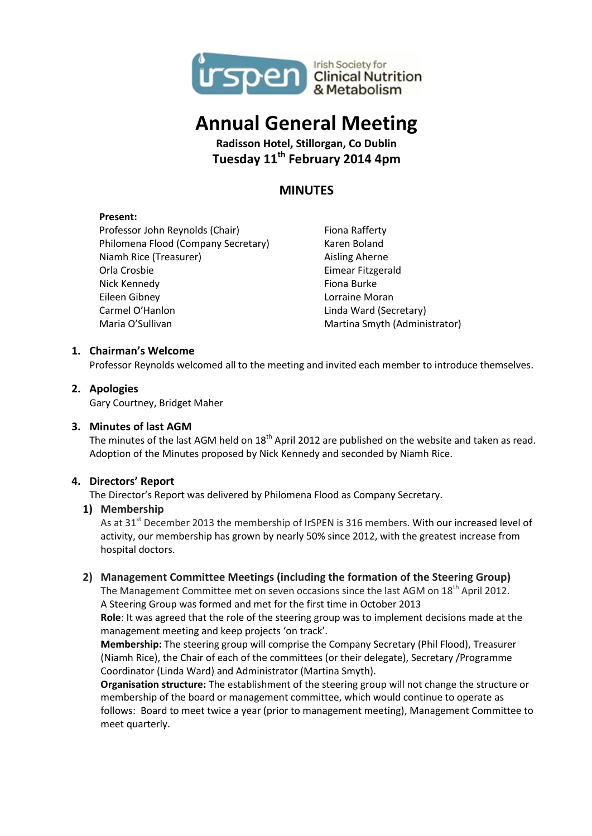

# **Annual General Meeting**

**Radisson Hotel, Stillorgan, Co Dublin Tuesday 11th February 2014 4pm**

# **MINUTES**

#### **Present:**

Professor John Reynolds (Chair) Philomena Flood (Company Secretary) Niamh Rice (Treasurer) Orla Crosbie Nick Kennedy Eileen Gibney Carmel O'Hanlon Maria O'Sullivan

Fiona Rafferty Karen Boland Aisling Aherne Eimear Fitzgerald Fiona Burke Lorraine Moran Linda Ward (Secretary) Martina Smyth (Administrator)

# **1. Chairman's Welcome**

Professor Reynolds welcomed all to the meeting and invited each member to introduce themselves.

# **2. Apologies**

Gary Courtney, Bridget Maher

#### **3. Minutes of last AGM**

The minutes of the last AGM held on 18<sup>th</sup> April 2012 are published on the website and taken as read. Adoption of the Minutes proposed by Nick Kennedy and seconded by Niamh Rice.

#### **4. Directors' Report**

The Director's Report was delivered by Philomena Flood as Company Secretary.

#### **1) Membership**

As at 31<sup>st</sup> December 2013 the membership of IrSPEN is 316 members. With our increased level of activity, our membership has grown by nearly 50% since 2012, with the greatest increase from hospital doctors.

#### **2) Management Committee Meetings (including the formation of the Steering Group)**

The Management Committee met on seven occasions since the last AGM on 18<sup>th</sup> April 2012. A Steering Group was formed and met for the first time in October 2013

**Role**: It was agreed that the role of the steering group was to implement decisions made at the management meeting and keep projects 'on track'.

**Membership:** The steering group will comprise the Company Secretary (Phil Flood), Treasurer (Niamh Rice), the Chair of each of the committees (or their delegate), Secretary /Programme Coordinator (Linda Ward) and Administrator (Martina Smyth).

**Organisation structure:** The establishment of the steering group will not change the structure or membership of the board or management committee, which would continue to operate as follows: Board to meet twice a year (prior to management meeting), Management Committee to meet quarterly.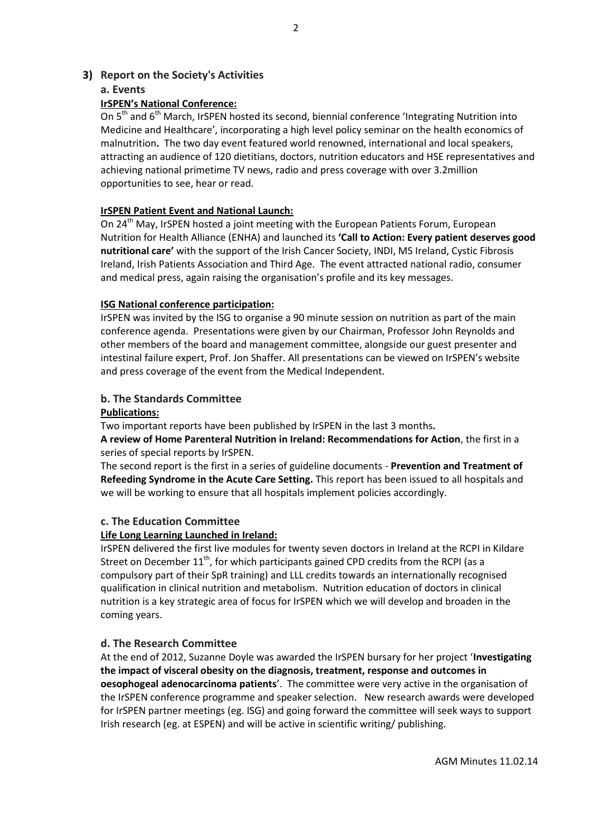# **3) Report on the Society's Activities**

### **a. Events**

# **IrSPEN's National Conference:**

On 5<sup>th</sup> and 6<sup>th</sup> March, IrSPEN hosted its second, biennial conference 'Integrating Nutrition into Medicine and Healthcare', incorporating a high level policy seminar on the health economics of malnutrition**.** The two day event featured world renowned, international and local speakers, attracting an audience of 120 dietitians, doctors, nutrition educators and HSE representatives and achieving national primetime TV news, radio and press coverage with over 3.2million opportunities to see, hear or read.

### **IrSPEN Patient Event and National Launch:**

On  $24<sup>th</sup>$  May, IrSPEN hosted a joint meeting with the European Patients Forum, European Nutrition for Health Alliance (ENHA) and launched its **'Call to Action: Every patient deserves good nutritional care'** with the support of the Irish Cancer Society, INDI, MS Ireland, Cystic Fibrosis Ireland, Irish Patients Association and Third Age. The event attracted national radio, consumer and medical press, again raising the organisation's profile and its key messages.

#### **ISG National conference participation:**

IrSPEN was invited by the ISG to organise a 90 minute session on nutrition as part of the main conference agenda. Presentations were given by our Chairman, Professor John Reynolds and other members of the board and management committee, alongside our guest presenter and intestinal failure expert, Prof. Jon Shaffer. All presentations can be viewed on IrSPEN's website and press coverage of the event from the Medical Independent.

# **b. The Standards Committee**

#### **Publications:**

Two important reports have been published by IrSPEN in the last 3 months**.** 

**A review of Home Parenteral Nutrition in Ireland: Recommendations for Action**, the first in a series of special reports by IrSPEN.

The second report is the first in a series of guideline documents - **Prevention and Treatment of Refeeding Syndrome in the Acute Care Setting.** This report has been issued to all hospitals and we will be working to ensure that all hospitals implement policies accordingly.

#### **c. The Education Committee**

#### **Life Long Learning Launched in Ireland:**

IrSPEN delivered the first live modules for twenty seven doctors in Ireland at the RCPI in Kildare Street on December  $11<sup>th</sup>$ , for which participants gained CPD credits from the RCPI (as a compulsory part of their SpR training) and LLL credits towards an internationally recognised qualification in clinical nutrition and metabolism. Nutrition education of doctors in clinical nutrition is a key strategic area of focus for IrSPEN which we will develop and broaden in the coming years.

#### **d. The Research Committee**

At the end of 2012, Suzanne Doyle was awarded the IrSPEN bursary for her project '**Investigating the impact of visceral obesity on the diagnosis, treatment, response and outcomes in oesophogeal adenocarcinoma patients**'. The committee were very active in the organisation of the IrSPEN conference programme and speaker selection. New research awards were developed for IrSPEN partner meetings (eg. ISG) and going forward the committee will seek ways to support Irish research (eg. at ESPEN) and will be active in scientific writing/ publishing.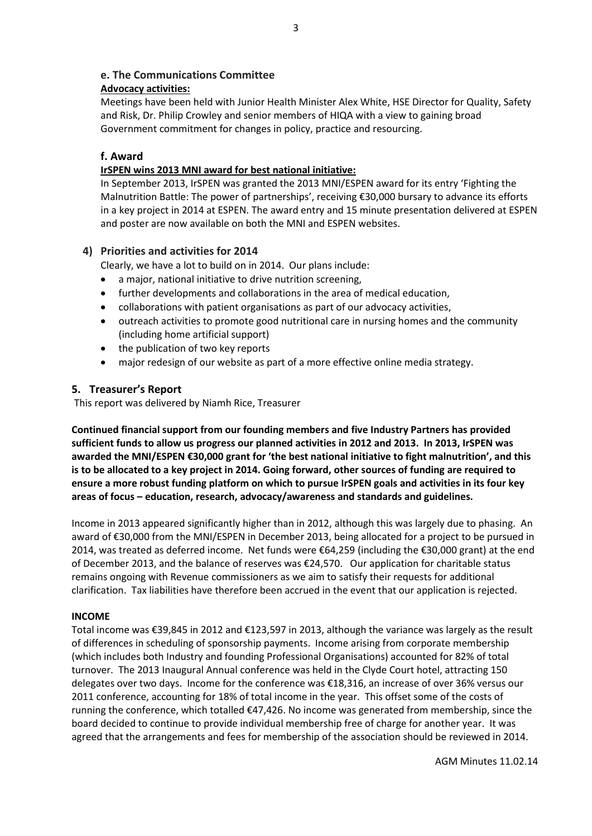# **e. The Communications Committee**

#### **Advocacy activities:**

Meetings have been held with Junior Health Minister Alex White, HSE Director for Quality, Safety and Risk, Dr. Philip Crowley and senior members of HIQA with a view to gaining broad Government commitment for changes in policy, practice and resourcing.

### **f. Award**

#### **IrSPEN wins 2013 MNI award for best national initiative:**

In September 2013, IrSPEN was granted the 2013 MNI/ESPEN award for its entry 'Fighting the Malnutrition Battle: The power of partnerships', receiving €30,000 bursary to advance its efforts in a key project in 2014 at ESPEN. The award entry and 15 minute presentation delivered at ESPEN and poster are now available on both the MNI and ESPEN websites.

#### **4) Priorities and activities for 2014**

Clearly, we have a lot to build on in 2014. Our plans include:

- a major, national initiative to drive nutrition screening,
- further developments and collaborations in the area of medical education,
- collaborations with patient organisations as part of our advocacy activities,
- outreach activities to promote good nutritional care in nursing homes and the community (including home artificial support)
- the publication of two key reports
- major redesign of our website as part of a more effective online media strategy.

# **5. Treasurer's Report**

This report was delivered by Niamh Rice, Treasurer

**Continued financial support from our founding members and five Industry Partners has provided sufficient funds to allow us progress our planned activities in 2012 and 2013. In 2013, IrSPEN was awarded the MNI/ESPEN €30,000 grant for 'the best national initiative to fight malnutrition', and this is to be allocated to a key project in 2014. Going forward, other sources of funding are required to ensure a more robust funding platform on which to pursue IrSPEN goals and activities in its four key areas of focus – education, research, advocacy/awareness and standards and guidelines.**

Income in 2013 appeared significantly higher than in 2012, although this was largely due to phasing. An award of €30,000 from the MNI/ESPEN in December 2013, being allocated for a project to be pursued in 2014, was treated as deferred income. Net funds were €64,259 (including the €30,000 grant) at the end of December 2013, and the balance of reserves was €24,570. Our application for charitable status remains ongoing with Revenue commissioners as we aim to satisfy their requests for additional clarification. Tax liabilities have therefore been accrued in the event that our application is rejected.

#### **INCOME**

Total income was €39,845 in 2012 and €123,597 in 2013, although the variance was largely as the result of differences in scheduling of sponsorship payments. Income arising from corporate membership (which includes both Industry and founding Professional Organisations) accounted for 82% of total turnover. The 2013 Inaugural Annual conference was held in the Clyde Court hotel, attracting 150 delegates over two days. Income for the conference was €18,316, an increase of over 36% versus our 2011 conference, accounting for 18% of total income in the year. This offset some of the costs of running the conference, which totalled €47,426. No income was generated from membership, since the board decided to continue to provide individual membership free of charge for another year. It was agreed that the arrangements and fees for membership of the association should be reviewed in 2014.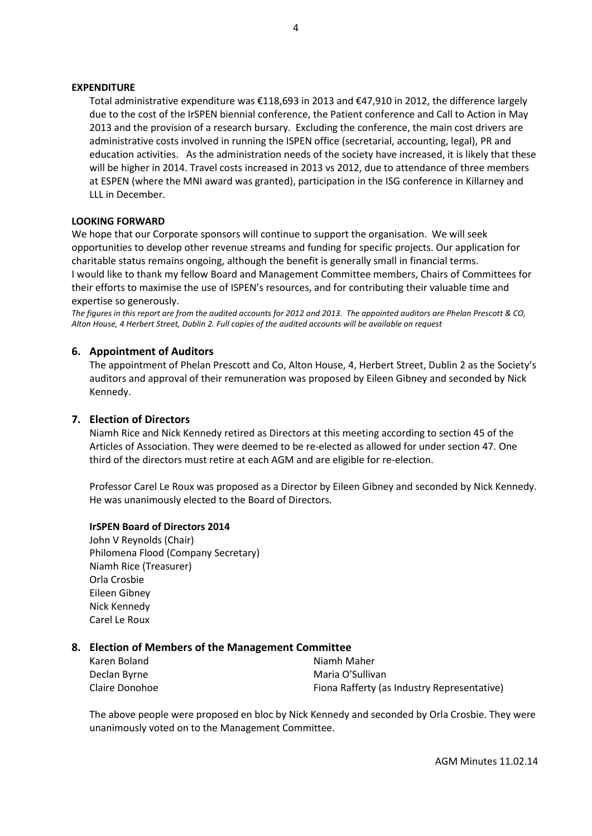#### **EXPENDITURE**

Total administrative expenditure was €118,693 in 2013 and €47,910 in 2012, the difference largely due to the cost of the IrSPEN biennial conference, the Patient conference and Call to Action in May 2013 and the provision of a research bursary. Excluding the conference, the main cost drivers are administrative costs involved in running the ISPEN office (secretarial, accounting, legal), PR and education activities. As the administration needs of the society have increased, it is likely that these will be higher in 2014. Travel costs increased in 2013 vs 2012, due to attendance of three members at ESPEN (where the MNI award was granted), participation in the ISG conference in Killarney and LLL in December.

#### **LOOKING FORWARD**

We hope that our Corporate sponsors will continue to support the organisation. We will seek opportunities to develop other revenue streams and funding for specific projects. Our application for charitable status remains ongoing, although the benefit is generally small in financial terms. I would like to thank my fellow Board and Management Committee members, Chairs of Committees for their efforts to maximise the use of ISPEN's resources, and for contributing their valuable time and expertise so generously.

*The figures in this report are from the audited accounts for 2012 and 2013. The appointed auditors are Phelan Prescott & CO, Alton House, 4 Herbert Street, Dublin 2. Full copies of the audited accounts will be available on request*

#### **6. Appointment of Auditors**

The appointment of Phelan Prescott and Co, Alton House, 4, Herbert Street, Dublin 2 as the Society's auditors and approval of their remuneration was proposed by Eileen Gibney and seconded by Nick Kennedy.

#### **7. Election of Directors**

Niamh Rice and Nick Kennedy retired as Directors at this meeting according to section 45 of the Articles of Association. They were deemed to be re-elected as allowed for under section 47. One third of the directors must retire at each AGM and are eligible for re-election.

Professor Carel Le Roux was proposed as a Director by Eileen Gibney and seconded by Nick Kennedy. He was unanimously elected to the Board of Directors.

#### **IrSPEN Board of Directors 2014**

John V Reynolds (Chair) Philomena Flood (Company Secretary) Niamh Rice (Treasurer) Orla Crosbie Eileen Gibney Nick Kennedy Carel Le Roux

#### **8. Election of Members of the Management Committee**

| Karen Boland   | Niamh Maher                                 |
|----------------|---------------------------------------------|
| Declan Byrne   | Maria O'Sullivan                            |
| Claire Donohoe | Fiona Rafferty (as Industry Representative) |

The above people were proposed en bloc by Nick Kennedy and seconded by Orla Crosbie. They were unanimously voted on to the Management Committee.